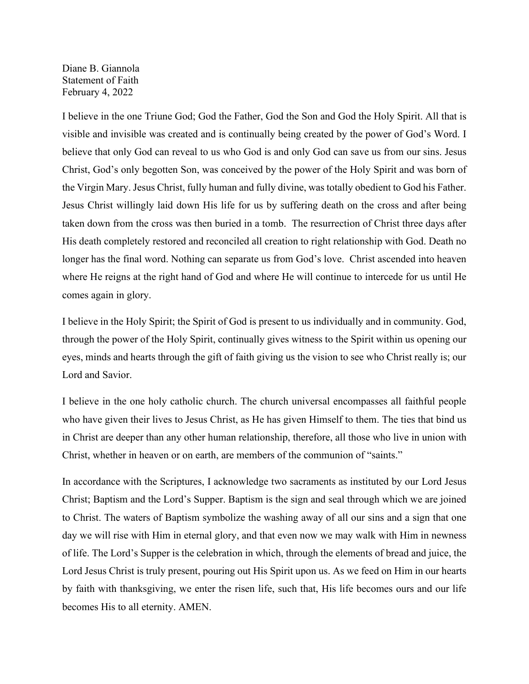Diane B. Giannola Statement of Faith February 4, 2022

I believe in the one Triune God; God the Father, God the Son and God the Holy Spirit. All that is visible and invisible was created and is continually being created by the power of God's Word. I believe that only God can reveal to us who God is and only God can save us from our sins. Jesus Christ, God's only begotten Son, was conceived by the power of the Holy Spirit and was born of the Virgin Mary. Jesus Christ, fully human and fully divine, was totally obedient to God his Father. Jesus Christ willingly laid down His life for us by suffering death on the cross and after being taken down from the cross was then buried in a tomb. The resurrection of Christ three days after His death completely restored and reconciled all creation to right relationship with God. Death no longer has the final word. Nothing can separate us from God's love. Christ ascended into heaven where He reigns at the right hand of God and where He will continue to intercede for us until He comes again in glory.

I believe in the Holy Spirit; the Spirit of God is present to us individually and in community. God, through the power of the Holy Spirit, continually gives witness to the Spirit within us opening our eyes, minds and hearts through the gift of faith giving us the vision to see who Christ really is; our Lord and Savior.

I believe in the one holy catholic church. The church universal encompasses all faithful people who have given their lives to Jesus Christ, as He has given Himself to them. The ties that bind us in Christ are deeper than any other human relationship, therefore, all those who live in union with Christ, whether in heaven or on earth, are members of the communion of "saints."

In accordance with the Scriptures, I acknowledge two sacraments as instituted by our Lord Jesus Christ; Baptism and the Lord's Supper. Baptism is the sign and seal through which we are joined to Christ. The waters of Baptism symbolize the washing away of all our sins and a sign that one day we will rise with Him in eternal glory, and that even now we may walk with Him in newness of life. The Lord's Supper is the celebration in which, through the elements of bread and juice, the Lord Jesus Christ is truly present, pouring out His Spirit upon us. As we feed on Him in our hearts by faith with thanksgiving, we enter the risen life, such that, His life becomes ours and our life becomes His to all eternity. AMEN.